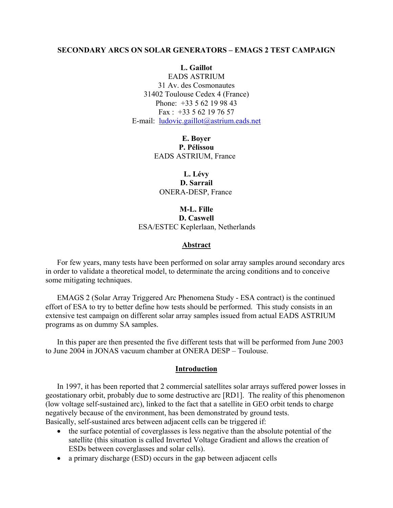#### **SECONDARY ARCS ON SOLAR GENERATORS – EMAGS 2 TEST CAMPAIGN**

### **L. Gaillot**

EADS ASTRIUM 31 Av. des Cosmonautes 31402 Toulouse Cedex 4 (France) Phone: +33 5 62 19 98 43 Fax  $\cdot$  +33 5 62 19 76 57 E-mail: [ludovic.gaillot@astrium.eads.net](mailto:ludovic.gaillot@astrium-space.com)

> **E. Boyer P. Pélissou**  EADS ASTRIUM, France

**L. Lévy D. Sarrail**  ONERA-DESP, France

**M-L. Fille D. Caswell**  ESA/ESTEC Keplerlaan, Netherlands

#### **Abstract**

For few years, many tests have been performed on solar array samples around secondary arcs in order to validate a theoretical model, to determinate the arcing conditions and to conceive some mitigating techniques.

EMAGS 2 (Solar Array Triggered Arc Phenomena Study - ESA contract) is the continued effort of ESA to try to better define how tests should be performed. This study consists in an extensive test campaign on different solar array samples issued from actual EADS ASTRIUM programs as on dummy SA samples.

In this paper are then presented the five different tests that will be performed from June 2003 to June 2004 in JONAS vacuum chamber at ONERA DESP – Toulouse.

#### **Introduction**

In 1997, it has been reported that 2 commercial satellites solar arrays suffered power losses in geostationary orbit, probably due to some destructive arc [RD1]. The reality of this phenomenon (low voltage self-sustained arc), linked to the fact that a satellite in GEO orbit tends to charge negatively because of the environment, has been demonstrated by ground tests. Basically, self-sustained arcs between adjacent cells can be triggered if:

- the surface potential of coverglasses is less negative than the absolute potential of the satellite (this situation is called Inverted Voltage Gradient and allows the creation of ESDs between coverglasses and solar cells).
- a primary discharge (ESD) occurs in the gap between adjacent cells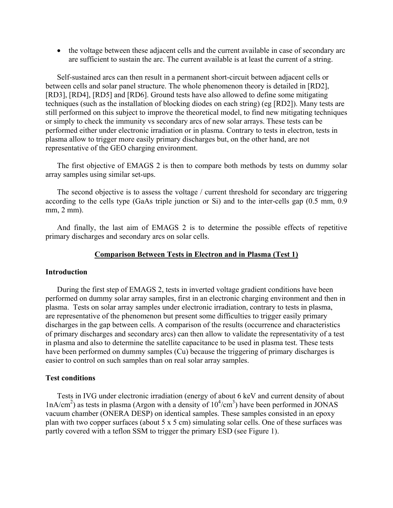• the voltage between these adjacent cells and the current available in case of secondary arc are sufficient to sustain the arc. The current available is at least the current of a string.

Self-sustained arcs can then result in a permanent short-circuit between adjacent cells or between cells and solar panel structure. The whole phenomenon theory is detailed in [RD2], [RD3], [RD4], [RD5] and [RD6]. Ground tests have also allowed to define some mitigating techniques (such as the installation of blocking diodes on each string) (eg [RD2]). Many tests are still performed on this subject to improve the theoretical model, to find new mitigating techniques or simply to check the immunity vs secondary arcs of new solar arrays. These tests can be performed either under electronic irradiation or in plasma. Contrary to tests in electron, tests in plasma allow to trigger more easily primary discharges but, on the other hand, are not representative of the GEO charging environment.

The first objective of EMAGS 2 is then to compare both methods by tests on dummy solar array samples using similar set-ups.

The second objective is to assess the voltage / current threshold for secondary arc triggering according to the cells type (GaAs triple junction or Si) and to the inter-cells gap (0.5 mm, 0.9 mm, 2 mm).

And finally, the last aim of EMAGS 2 is to determine the possible effects of repetitive primary discharges and secondary arcs on solar cells.

### **Comparison Between Tests in Electron and in Plasma (Test 1)**

#### **Introduction**

During the first step of EMAGS 2, tests in inverted voltage gradient conditions have been performed on dummy solar array samples, first in an electronic charging environment and then in plasma. Tests on solar array samples under electronic irradiation, contrary to tests in plasma, are representative of the phenomenon but present some difficulties to trigger easily primary discharges in the gap between cells. A comparison of the results (occurrence and characteristics of primary discharges and secondary arcs) can then allow to validate the representativity of a test in plasma and also to determine the satellite capacitance to be used in plasma test. These tests have been performed on dummy samples (Cu) because the triggering of primary discharges is easier to control on such samples than on real solar array samples.

#### **Test conditions**

Tests in IVG under electronic irradiation (energy of about 6 keV and current density of about  $1nA/cm<sup>2</sup>$ ) as tests in plasma (Argon with a density of  $10<sup>4</sup>/cm<sup>3</sup>$ ) have been performed in JONAS vacuum chamber (ONERA DESP) on identical samples. These samples consisted in an epoxy plan with two copper surfaces (about 5 x 5 cm) simulating solar cells. One of these surfaces was partly covered with a teflon SSM to trigger the primary ESD (see Figure 1).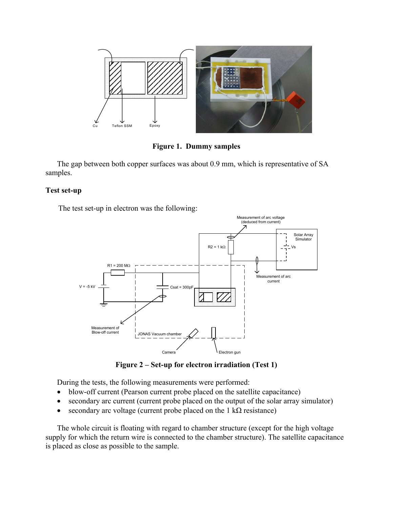

**Figure 1. Dummy samples** 

The gap between both copper surfaces was about 0.9 mm, which is representative of SA samples.

### **Test set-up**

The test set-up in electron was the following:



**Figure 2 – Set-up for electron irradiation (Test 1)** 

During the tests, the following measurements were performed:

- blow-off current (Pearson current probe placed on the satellite capacitance)
- secondary arc current (current probe placed on the output of the solar array simulator)
- secondary arc voltage (current probe placed on the  $1 \text{ k}\Omega$  resistance)

The whole circuit is floating with regard to chamber structure (except for the high voltage supply for which the return wire is connected to the chamber structure). The satellite capacitance is placed as close as possible to the sample.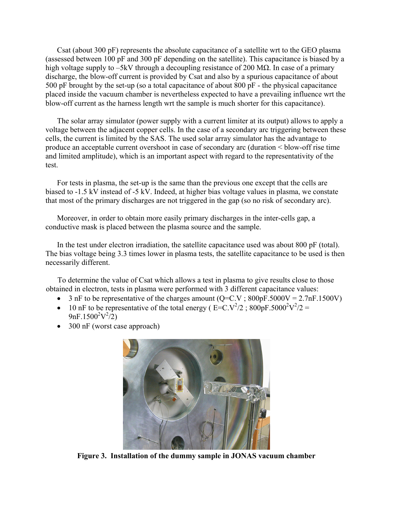Csat (about 300 pF) represents the absolute capacitance of a satellite wrt to the GEO plasma (assessed between 100 pF and 300 pF depending on the satellite). This capacitance is biased by a high voltage supply to –5kV through a decoupling resistance of 200 M $\Omega$ . In case of a primary discharge, the blow-off current is provided by Csat and also by a spurious capacitance of about 500 pF brought by the set-up (so a total capacitance of about 800 pF - the physical capacitance placed inside the vacuum chamber is nevertheless expected to have a prevailing influence wrt the blow-off current as the harness length wrt the sample is much shorter for this capacitance).

The solar array simulator (power supply with a current limiter at its output) allows to apply a voltage between the adjacent copper cells. In the case of a secondary arc triggering between these cells, the current is limited by the SAS. The used solar array simulator has the advantage to produce an acceptable current overshoot in case of secondary arc (duration < blow-off rise time and limited amplitude), which is an important aspect with regard to the representativity of the test.

For tests in plasma, the set-up is the same than the previous one except that the cells are biased to -1.5 kV instead of -5 kV. Indeed, at higher bias voltage values in plasma, we constate that most of the primary discharges are not triggered in the gap (so no risk of secondary arc).

Moreover, in order to obtain more easily primary discharges in the inter-cells gap, a conductive mask is placed between the plasma source and the sample.

In the test under electron irradiation, the satellite capacitance used was about 800 pF (total). The bias voltage being 3.3 times lower in plasma tests, the satellite capacitance to be used is then necessarily different.

To determine the value of Csat which allows a test in plasma to give results close to those obtained in electron, tests in plasma were performed with 3 different capacitance values:

- 3 nF to be representative of the charges amount  $(Q=CN; 800pF.5000V = 2.7nF.1500V)$
- 10 nF to be representative of the total energy (E=C.V<sup>2</sup>/2;  $800pF.5000^2V^2/2$  =  $9nF.1500^2V^2/2)$
- 300 nF (worst case approach)



**Figure 3. Installation of the dummy sample in JONAS vacuum chamber**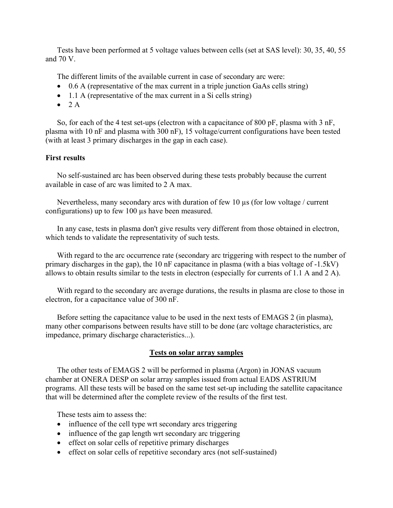Tests have been performed at 5 voltage values between cells (set at SAS level): 30, 35, 40, 55 and 70 V.

The different limits of the available current in case of secondary arc were:

- 0.6 A (representative of the max current in a triple junction GaAs cells string)
- 1.1 A (representative of the max current in a Si cells string)
- $\bullet$  2 A

So, for each of the 4 test set-ups (electron with a capacitance of 800 pF, plasma with 3 nF, plasma with 10 nF and plasma with 300 nF), 15 voltage/current configurations have been tested (with at least 3 primary discharges in the gap in each case).

## **First results**

No self-sustained arc has been observed during these tests probably because the current available in case of arc was limited to 2 A max.

Nevertheless, many secondary arcs with duration of few 10  $\mu$ s (for low voltage / current configurations) up to few 100 µs have been measured.

In any case, tests in plasma don't give results very different from those obtained in electron, which tends to validate the representativity of such tests.

With regard to the arc occurrence rate (secondary arc triggering with respect to the number of primary discharges in the gap), the 10 nF capacitance in plasma (with a bias voltage of -1.5kV) allows to obtain results similar to the tests in electron (especially for currents of 1.1 A and 2 A).

With regard to the secondary arc average durations, the results in plasma are close to those in electron, for a capacitance value of 300 nF.

Before setting the capacitance value to be used in the next tests of EMAGS 2 (in plasma), many other comparisons between results have still to be done (arc voltage characteristics, arc impedance, primary discharge characteristics...).

## **Tests on solar array samples**

The other tests of EMAGS 2 will be performed in plasma (Argon) in JONAS vacuum chamber at ONERA DESP on solar array samples issued from actual EADS ASTRIUM programs. All these tests will be based on the same test set-up including the satellite capacitance that will be determined after the complete review of the results of the first test.

These tests aim to assess the:

- influence of the cell type wrt secondary arcs triggering
- influence of the gap length wrt secondary arc triggering
- effect on solar cells of repetitive primary discharges
- effect on solar cells of repetitive secondary arcs (not self-sustained)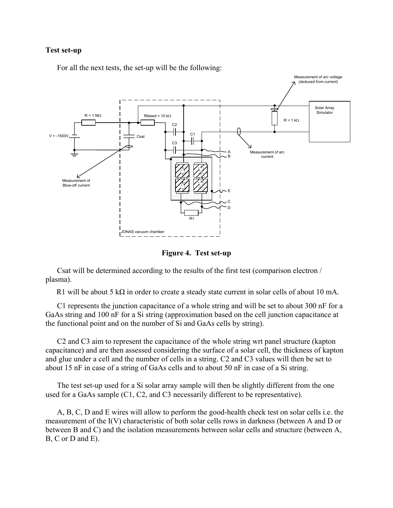#### **Test set-up**

For all the next tests, the set-up will be the following:



**Figure 4. Test set-up** 

Csat will be determined according to the results of the first test (comparison electron / plasma).

R1 will be about 5 k $\Omega$  in order to create a steady state current in solar cells of about 10 mA.

C1 represents the junction capacitance of a whole string and will be set to about 300 nF for a GaAs string and 100 nF for a Si string (approximation based on the cell junction capacitance at the functional point and on the number of Si and GaAs cells by string).

C2 and C3 aim to represent the capacitance of the whole string wrt panel structure (kapton capacitance) and are then assessed considering the surface of a solar cell, the thickness of kapton and glue under a cell and the number of cells in a string. C2 and C3 values will then be set to about 15 nF in case of a string of GaAs cells and to about 50 nF in case of a Si string.

The test set-up used for a Si solar array sample will then be slightly different from the one used for a GaAs sample (C1, C2, and C3 necessarily different to be representative).

A, B, C, D and E wires will allow to perform the good-health check test on solar cells i.e. the measurement of the I(V) characteristic of both solar cells rows in darkness (between A and D or between B and C) and the isolation measurements between solar cells and structure (between A, B, C or D and E).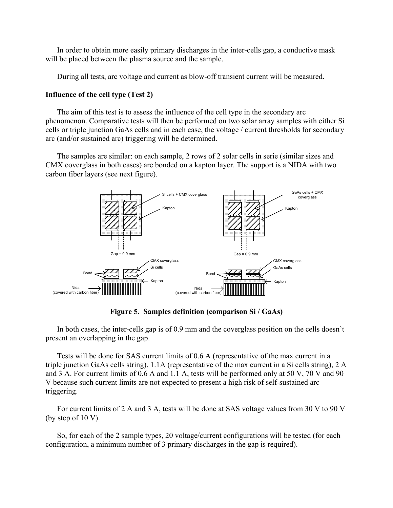In order to obtain more easily primary discharges in the inter-cells gap, a conductive mask will be placed between the plasma source and the sample.

During all tests, arc voltage and current as blow-off transient current will be measured.

### **Influence of the cell type (Test 2)**

The aim of this test is to assess the influence of the cell type in the secondary arc phenomenon. Comparative tests will then be performed on two solar array samples with either Si cells or triple junction GaAs cells and in each case, the voltage / current thresholds for secondary arc (and/or sustained arc) triggering will be determined.

The samples are similar: on each sample, 2 rows of 2 solar cells in serie (similar sizes and CMX coverglass in both cases) are bonded on a kapton layer. The support is a NIDA with two carbon fiber layers (see next figure).



**Figure 5. Samples definition (comparison Si / GaAs)** 

In both cases, the inter-cells gap is of 0.9 mm and the coverglass position on the cells doesn't present an overlapping in the gap.

Tests will be done for SAS current limits of 0.6 A (representative of the max current in a triple junction GaAs cells string), 1.1A (representative of the max current in a Si cells string), 2 A and 3 A. For current limits of 0.6 A and 1.1 A, tests will be performed only at 50 V, 70 V and 90 V because such current limits are not expected to present a high risk of self-sustained arc triggering.

For current limits of 2 A and 3 A, tests will be done at SAS voltage values from 30 V to 90 V (by step of  $10 \text{ V}$ ).

So, for each of the 2 sample types, 20 voltage/current configurations will be tested (for each configuration, a minimum number of 3 primary discharges in the gap is required).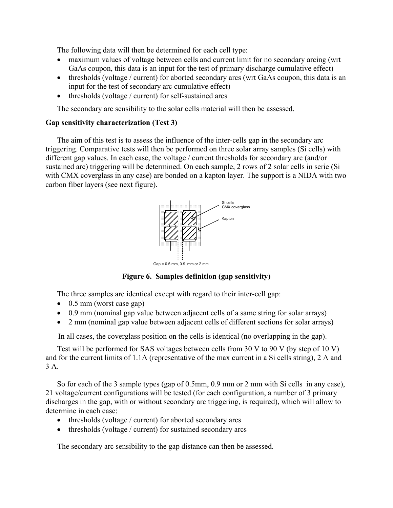The following data will then be determined for each cell type:

- maximum values of voltage between cells and current limit for no secondary arcing (wrt GaAs coupon, this data is an input for the test of primary discharge cumulative effect)
- thresholds (voltage / current) for aborted secondary arcs (wrt GaAs coupon, this data is an input for the test of secondary arc cumulative effect)
- thresholds (voltage / current) for self-sustained arcs

The secondary arc sensibility to the solar cells material will then be assessed.

# **Gap sensitivity characterization (Test 3)**

The aim of this test is to assess the influence of the inter-cells gap in the secondary arc triggering. Comparative tests will then be performed on three solar array samples (Si cells) with different gap values. In each case, the voltage / current thresholds for secondary arc (and/or sustained arc) triggering will be determined. On each sample, 2 rows of 2 solar cells in serie (Si with CMX coverglass in any case) are bonded on a kapton layer. The support is a NIDA with two carbon fiber layers (see next figure).



**Figure 6. Samples definition (gap sensitivity)** 

The three samples are identical except with regard to their inter-cell gap:

- 0.5 mm (worst case gap)
- 0.9 mm (nominal gap value between adjacent cells of a same string for solar arrays)
- 2 mm (nominal gap value between adjacent cells of different sections for solar arrays)

In all cases, the coverglass position on the cells is identical (no overlapping in the gap).

Test will be performed for SAS voltages between cells from 30 V to 90 V (by step of 10 V) and for the current limits of 1.1A (representative of the max current in a Si cells string), 2 A and 3 A.

So for each of the 3 sample types (gap of 0.5mm, 0.9 mm or 2 mm with Si cells in any case), 21 voltage/current configurations will be tested (for each configuration, a number of 3 primary discharges in the gap, with or without secondary arc triggering, is required), which will allow to determine in each case:

- thresholds (voltage / current) for aborted secondary arcs
- thresholds (voltage / current) for sustained secondary arcs

The secondary arc sensibility to the gap distance can then be assessed.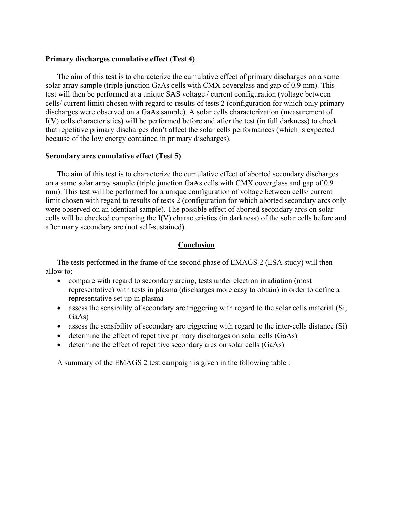### **Primary discharges cumulative effect (Test 4)**

The aim of this test is to characterize the cumulative effect of primary discharges on a same solar array sample (triple junction GaAs cells with CMX coverglass and gap of 0.9 mm). This test will then be performed at a unique SAS voltage / current configuration (voltage between cells/ current limit) chosen with regard to results of tests 2 (configuration for which only primary discharges were observed on a GaAs sample). A solar cells characterization (measurement of I(V) cells characteristics) will be performed before and after the test (in full darkness) to check that repetitive primary discharges don't affect the solar cells performances (which is expected because of the low energy contained in primary discharges).

#### **Secondary arcs cumulative effect (Test 5)**

The aim of this test is to characterize the cumulative effect of aborted secondary discharges on a same solar array sample (triple junction GaAs cells with CMX coverglass and gap of 0.9 mm). This test will be performed for a unique configuration of voltage between cells/ current limit chosen with regard to results of tests 2 (configuration for which aborted secondary arcs only were observed on an identical sample). The possible effect of aborted secondary arcs on solar cells will be checked comparing the I(V) characteristics (in darkness) of the solar cells before and after many secondary arc (not self-sustained).

### **Conclusion**

The tests performed in the frame of the second phase of EMAGS 2 (ESA study) will then allow to:

- compare with regard to secondary arcing, tests under electron irradiation (most representative) with tests in plasma (discharges more easy to obtain) in order to define a representative set up in plasma
- assess the sensibility of secondary arc triggering with regard to the solar cells material (Si, GaAs)
- assess the sensibility of secondary arc triggering with regard to the inter-cells distance (Si)
- determine the effect of repetitive primary discharges on solar cells (GaAs)
- determine the effect of repetitive secondary arcs on solar cells (GaAs)

A summary of the EMAGS 2 test campaign is given in the following table :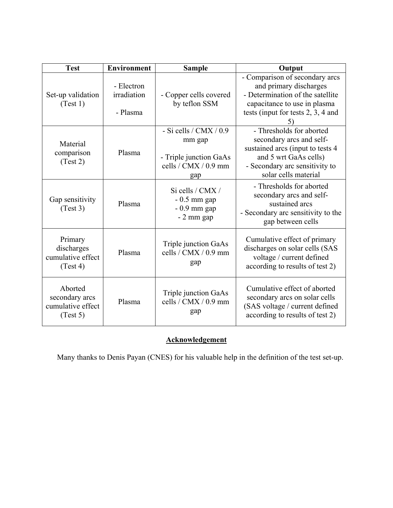| <b>Test</b>                                                | <b>Environment</b>                    | <b>Sample</b>                                                                               | Output                                                                                                                                                                      |
|------------------------------------------------------------|---------------------------------------|---------------------------------------------------------------------------------------------|-----------------------------------------------------------------------------------------------------------------------------------------------------------------------------|
| Set-up validation<br>(Test 1)                              | - Electron<br>irradiation<br>- Plasma | - Copper cells covered<br>by teflon SSM                                                     | - Comparison of secondary arcs<br>and primary discharges<br>- Determination of the satellite<br>capacitance to use in plasma<br>tests (input for tests 2, 3, 4 and          |
| Material<br>comparison<br>(Test 2)                         | Plasma                                | $-$ Si cells / CMX / 0.9<br>mm gap<br>- Triple junction GaAs<br>cells / CMX / 0.9 mm<br>gap | - Thresholds for aborted<br>secondary arcs and self-<br>sustained arcs (input to tests 4<br>and 5 wrt GaAs cells)<br>- Secondary arc sensitivity to<br>solar cells material |
| Gap sensitivity<br>(Test 3)                                | Plasma                                | Si cells / CMX /<br>$-0.5$ mm gap<br>$-0.9$ mm gap<br>- 2 mm gap                            | - Thresholds for aborted<br>secondary arcs and self-<br>sustained arcs<br>- Secondary arc sensitivity to the<br>gap between cells                                           |
| Primary<br>discharges<br>cumulative effect<br>(Test 4)     | Plasma                                | Triple junction GaAs<br>cells / CMX / 0.9 mm<br>gap                                         | Cumulative effect of primary<br>discharges on solar cells (SAS<br>voltage / current defined<br>according to results of test 2)                                              |
| Aborted<br>secondary arcs<br>cumulative effect<br>(Test 5) | Plasma                                | Triple junction GaAs<br>cells / CMX / 0.9 mm<br>gap                                         | Cumulative effect of aborted<br>secondary arcs on solar cells<br>(SAS voltage / current defined<br>according to results of test 2)                                          |

# **Acknowledgement**

Many thanks to Denis Payan (CNES) for his valuable help in the definition of the test set-up.